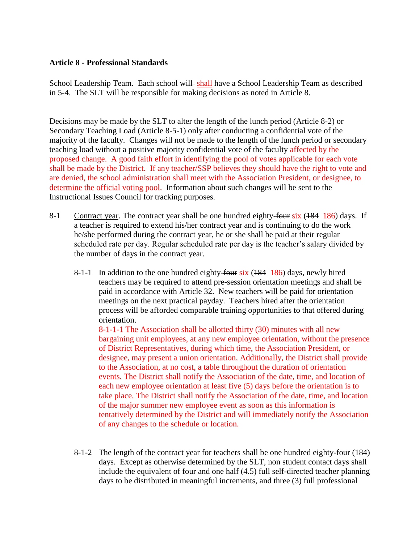## **Article 8 - Professional Standards**

School Leadership Team. Each school will shall have a School Leadership Team as described in 5-4. The SLT will be responsible for making decisions as noted in Article 8.

Decisions may be made by the SLT to alter the length of the lunch period (Article 8-2) or Secondary Teaching Load (Article 8-5-1) only after conducting a confidential vote of the majority of the faculty. Changes will not be made to the length of the lunch period or secondary teaching load without a positive majority confidential vote of the faculty affected by the proposed change. A good faith effort in identifying the pool of votes applicable for each vote shall be made by the District. If any teacher/SSP believes they should have the right to vote and are denied, the school administration shall meet with the Association President, or designee, to determine the official voting pool. Information about such changes will be sent to the Instructional Issues Council for tracking purposes.

- 8-1 Contract year. The contract year shall be one hundred eighty-four six (184 186) days. If a teacher is required to extend his/her contract year and is continuing to do the work he/she performed during the contract year, he or she shall be paid at their regular scheduled rate per day. Regular scheduled rate per day is the teacher's salary divided by the number of days in the contract year.
	- 8-1-1 In addition to the one hundred eighty- $f_{\text{OUE}}$  six (184 186) days, newly hired teachers may be required to attend pre-session orientation meetings and shall be paid in accordance with Article 32. New teachers will be paid for orientation meetings on the next practical payday. Teachers hired after the orientation process will be afforded comparable training opportunities to that offered during orientation.

8-1-1-1 The Association shall be allotted thirty (30) minutes with all new bargaining unit employees, at any new employee orientation, without the presence of District Representatives, during which time, the Association President, or designee, may present a union orientation. Additionally, the District shall provide to the Association, at no cost, a table throughout the duration of orientation events. The District shall notify the Association of the date, time, and location of each new employee orientation at least five (5) days before the orientation is to take place. The District shall notify the Association of the date, time, and location of the major summer new employee event as soon as this information is tentatively determined by the District and will immediately notify the Association of any changes to the schedule or location.

8-1-2 The length of the contract year for teachers shall be one hundred eighty-four (184) days. Except as otherwise determined by the SLT, non student contact days shall include the equivalent of four and one half (4.5) full self-directed teacher planning days to be distributed in meaningful increments, and three (3) full professional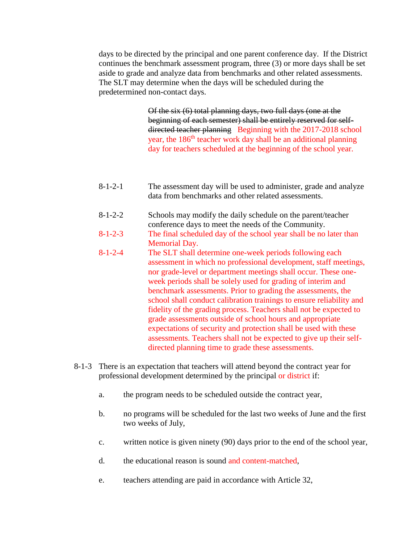days to be directed by the principal and one parent conference day. If the District continues the benchmark assessment program, three (3) or more days shall be set aside to grade and analyze data from benchmarks and other related assessments. The SLT may determine when the days will be scheduled during the predetermined non-contact days.

> Of the six (6) total planning days, two full days (one at the beginning of each semester) shall be entirely reserved for selfdirected teacher planning Beginning with the 2017-2018 school year, the 186<sup>th</sup> teacher work day shall be an additional planning day for teachers scheduled at the beginning of the school year.

- 8-1-2-1 The assessment day will be used to administer, grade and analyze data from benchmarks and other related assessments.
- 8-1-2-2 Schools may modify the daily schedule on the parent/teacher conference days to meet the needs of the Community.
- 8-1-2-3 The final scheduled day of the school year shall be no later than Memorial Day.
- 8-1-2-4 The SLT shall determine one-week periods following each assessment in which no professional development, staff meetings, nor grade-level or department meetings shall occur. These oneweek periods shall be solely used for grading of interim and benchmark assessments. Prior to grading the assessments, the school shall conduct calibration trainings to ensure reliability and fidelity of the grading process. Teachers shall not be expected to grade assessments outside of school hours and appropriate expectations of security and protection shall be used with these assessments. Teachers shall not be expected to give up their selfdirected planning time to grade these assessments.
- 8-1-3 There is an expectation that teachers will attend beyond the contract year for professional development determined by the principal or district if:
	- a. the program needs to be scheduled outside the contract year,
	- b. no programs will be scheduled for the last two weeks of June and the first two weeks of July,
	- c. written notice is given ninety (90) days prior to the end of the school year,
	- d. the educational reason is sound and content-matched,
	- e. teachers attending are paid in accordance with Article 32,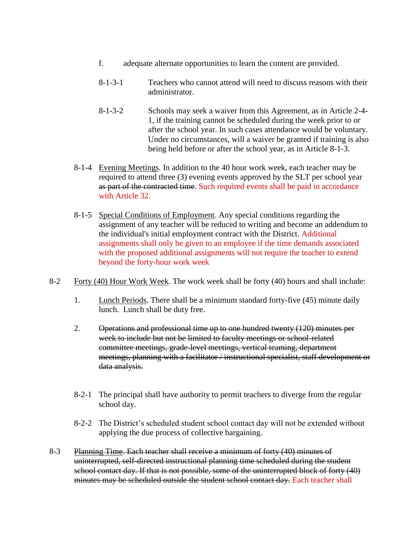- f. adequate alternate opportunities to learn the content are provided.
- 8-1-3-1 Teachers who cannot attend will need to discuss reasons with their administrator.
- 8-1-3-2 Schools may seek a waiver from this Agreement, as in Article 2-4- 1, if the training cannot be scheduled during the week prior to or after the school year. In such cases attendance would be voluntary. Under no circumstances, will a waiver be granted if training is also being held before or after the school year, as in Article 8-1-3.
- 8-1-4 Evening Meetings. In addition to the 40 hour work week, each teacher may be required to attend three (3) evening events approved by the SLT per school year as part of the contracted time. Such required events shall be paid in accordance with Article 32.
- 8-1-5 Special Conditions of Employment. Any special conditions regarding the assignment of any teacher will be reduced to writing and become an addendum to the individual's initial employment contract with the District. Additional assignments shall only be given to an employee if the time demands associated with the proposed additional assignments will not require the teacher to extend beyond the forty-hour work week
- 8-2 Forty (40) Hour Work Week. The work week shall be forty (40) hours and shall include:
	- 1. Lunch Periods. There shall be a minimum standard forty-five (45) minute daily lunch. Lunch shall be duty free.
	- 2. Operations and professional time up to one hundred twenty (120) minutes per week to include but not be limited to faculty meetings or school-related committee meetings, grade-level meetings, vertical teaming, department meetings, planning with a facilitator / instructional specialist, staff development or data analysis.
	- 8-2-1 The principal shall have authority to permit teachers to diverge from the regular school day.
	- 8-2-2 The District's scheduled student school contact day will not be extended without applying the due process of collective bargaining.
- 8-3 Planning Time. Each teacher shall receive a minimum of forty (40) minutes of uninterrupted, self-directed instructional planning time scheduled during the student school contact day. If that is not possible, some of the uninterrupted block of forty (40) minutes may be scheduled outside the student school contact day. Each teacher shall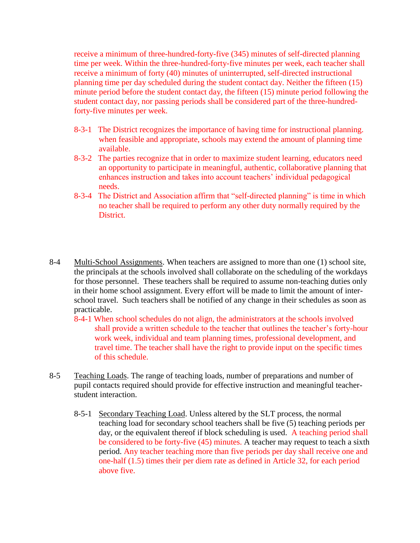receive a minimum of three-hundred-forty-five (345) minutes of self-directed planning time per week. Within the three-hundred-forty-five minutes per week, each teacher shall receive a minimum of forty (40) minutes of uninterrupted, self-directed instructional planning time per day scheduled during the student contact day. Neither the fifteen (15) minute period before the student contact day, the fifteen (15) minute period following the student contact day, nor passing periods shall be considered part of the three-hundredforty-five minutes per week.

- 8-3-1 The District recognizes the importance of having time for instructional planning. when feasible and appropriate, schools may extend the amount of planning time available.
- 8-3-2 The parties recognize that in order to maximize student learning, educators need an opportunity to participate in meaningful, authentic, collaborative planning that enhances instruction and takes into account teachers' individual pedagogical needs.
- 8-3-4 The District and Association affirm that "self-directed planning" is time in which no teacher shall be required to perform any other duty normally required by the District.
- 8-4 Multi-School Assignments. When teachers are assigned to more than one (1) school site, the principals at the schools involved shall collaborate on the scheduling of the workdays for those personnel. These teachers shall be required to assume non-teaching duties only in their home school assignment. Every effort will be made to limit the amount of interschool travel. Such teachers shall be notified of any change in their schedules as soon as practicable.
	- 8-4-1 When school schedules do not align, the administrators at the schools involved shall provide a written schedule to the teacher that outlines the teacher's forty-hour work week, individual and team planning times, professional development, and travel time. The teacher shall have the right to provide input on the specific times of this schedule.
- 8-5 Teaching Loads. The range of teaching loads, number of preparations and number of pupil contacts required should provide for effective instruction and meaningful teacherstudent interaction.
	- 8-5-1 Secondary Teaching Load. Unless altered by the SLT process, the normal teaching load for secondary school teachers shall be five (5) teaching periods per day, or the equivalent thereof if block scheduling is used. A teaching period shall be considered to be forty-five (45) minutes. A teacher may request to teach a sixth period. Any teacher teaching more than five periods per day shall receive one and one-half (1.5) times their per diem rate as defined in Article 32, for each period above five.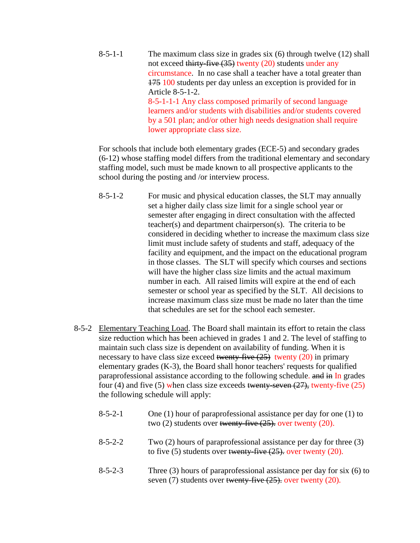8-5-1-1 The maximum class size in grades six  $(6)$  through twelve  $(12)$  shall not exceed thirty-five (35) twenty (20) students under any circumstance. In no case shall a teacher have a total greater than 175 100 students per day unless an exception is provided for in Article 8-5-1-2. 8-5-1-1-1 Any class composed primarily of second language learners and/or students with disabilities and/or students covered by a 501 plan; and/or other high needs designation shall require lower appropriate class size.

For schools that include both elementary grades (ECE-5) and secondary grades (6-12) whose staffing model differs from the traditional elementary and secondary staffing model, such must be made known to all prospective applicants to the school during the posting and /or interview process.

- 8-5-1-2 For music and physical education classes, the SLT may annually set a higher daily class size limit for a single school year or semester after engaging in direct consultation with the affected teacher(s) and department chairperson(s). The criteria to be considered in deciding whether to increase the maximum class size limit must include safety of students and staff, adequacy of the facility and equipment, and the impact on the educational program in those classes. The SLT will specify which courses and sections will have the higher class size limits and the actual maximum number in each. All raised limits will expire at the end of each semester or school year as specified by the SLT. All decisions to increase maximum class size must be made no later than the time that schedules are set for the school each semester.
- 8-5-2 Elementary Teaching Load. The Board shall maintain its effort to retain the class size reduction which has been achieved in grades 1 and 2. The level of staffing to maintain such class size is dependent on availability of funding. When it is necessary to have class size exceed twenty-five  $(25)$  twenty  $(20)$  in primary elementary grades (K-3), the Board shall honor teachers' requests for qualified paraprofessional assistance according to the following schedule. and in In grades four (4) and five (5) when class size exceeds twenty-seven  $(27)$ , twenty-five (25) the following schedule will apply:

| $8 - 5 - 2 - 1$ | One (1) hour of paraprofessional assistance per day for one (1) to<br>two $(2)$ students over twenty-five $(25)$ , over twenty $(20)$ .            |
|-----------------|----------------------------------------------------------------------------------------------------------------------------------------------------|
| $8 - 5 - 2 - 2$ | Two $(2)$ hours of paraprofessional assistance per day for three $(3)$<br>to five (5) students over <del>twenty-five (25),</del> over twenty (20). |
| $8 - 5 - 2 - 3$ | Three $(3)$ hours of paraprofessional assistance per day for six $(6)$ to<br>seven $(7)$ students over twenty five $(25)$ , over twenty $(20)$ .   |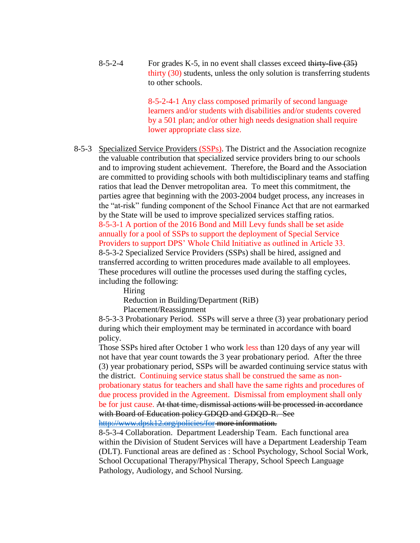8-5-2-4 For grades K-5, in no event shall classes exceed thirty-five  $(35)$ thirty (30) students, unless the only solution is transferring students to other schools.

> 8-5-2-4-1 Any class composed primarily of second language learners and/or students with disabilities and/or students covered by a 501 plan; and/or other high needs designation shall require lower appropriate class size.

8-5-3 Specialized Service Providers (SSPs). The District and the Association recognize the valuable contribution that specialized service providers bring to our schools and to improving student achievement. Therefore, the Board and the Association are committed to providing schools with both multidisciplinary teams and staffing ratios that lead the Denver metropolitan area. To meet this commitment, the parties agree that beginning with the 2003-2004 budget process, any increases in the "atrisk" funding component of the School Finance Act that are not earmarked by the State will be used to improve specialized services staffing ratios. 8-5-3-1 A portion of the 2016 Bond and Mill Levy funds shall be set aside annually for a pool of SSPs to support the deployment of Special Service Providers to support DPS' Whole Child Initiative as outlined in Article 33. 8-5-3-2 Specialized Service Providers (SSPs) shall be hired, assigned and transferred according to written procedures made available to all employees. These procedures will outline the processes used during the staffing cycles, including the following:

Hiring Reduction in Building/Department (RiB) Placement/Reassignment

8-5-3-3 Probationary Period. SSPs will serve a three (3) year probationary period during which their employment may be terminated in accordance with board policy.

Those SSPs hired after October 1 who work less than 120 days of any year will not have that year count towards the 3 year probationary period. After the three (3) year probationary period, SSPs will be awarded continuing service status with the district. Continuing service status shall be construed the same as nonprobationary status for teachers and shall have the same rights and procedures of due process provided in the Agreement. Dismissal from employment shall only be for just cause. At that time, dismissal actions will be processed in accordance with Board of Education policy GDQD and GDQD-R. See

<http://www.dpsk12.org/policies/for> more information.

8-5-3-4 Collaboration. Department Leadership Team. Each functional area within the Division of Student Services will have a Department Leadership Team (DLT). Functional areas are defined as : School Psychology, School Social Work, School Occupational Therapy/Physical Therapy, School Speech Language Pathology, Audiology, and School Nursing.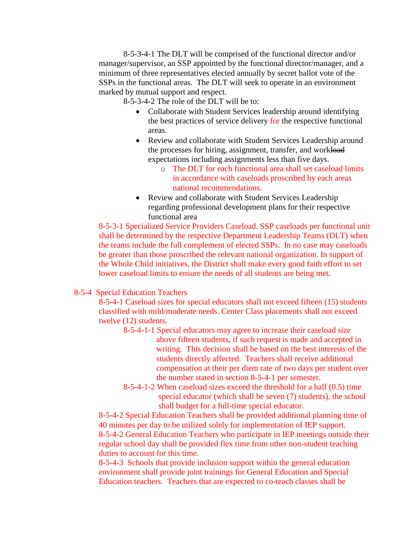8-5-3-4-1 The DLT will be comprised of the functional director and/or manager/supervisor, an SSP appointed by the functional director/manager, and a minimum of three representatives elected annually by secret ballot vote of the SSPs in the functional areas. The DLT will seek to operate in an environment marked by mutual support and respect.

8-5-3-4-2 The role of the DLT will be to:

- Collaborate with Student Services leadership around identifying the best practices of service delivery for the respective functional areas.
- Review and collaborate with Student Services Leadership around the processes for hiring, assignment, transfer, and workload expectations including assignments less than five days.
	- o The DLT for each functional area shall set caseload limits in accordance with caseloads proscribed by each areas national recommendations.
- Review and collaborate with Student Services Leadership regarding professional development plans for their respective functional area

8-5-3-1 Specialized Service Providers Caseload. SSP caseloads per functional unit shall be determined by the respective Department Leadership Teams (DLT) when the teams include the full complement of elected SSPs. In no case may caseloads be greater than those proscribed the relevant national organization. In support of the Whole Child initiatives, the District shall make every good faith effort to set lower caseload limits to ensure the needs of all students are being met.

## 8-5-4 Special Education Teachers

8-5-4-1 Caseload sizes for special educators shall not exceed fifteen (15) students classified with mild/moderate needs. Center Class placements shall not exceed twelve (12) students.

- 8-5-4-1-1 Special educators may agree to increase their caseload size above fifteen students, if such request is made and accepted in writing. This decision shall be based on the best interests of the students directly affected. Teachers shall receive additional compensation at their per diem rate of two days per student over the number stated in section 8-5-4-1 per semester.
- 8-5-4-1-2 When caseload sizes exceed the threshold for a half (0.5) time special educator (which shall be seven (7) students), the school shall budget for a full-time special educator.

8-5-4-2 Special Education Teachers shall be provided additional planning time of 40 minutes per day to be utilized solely for implementation of IEP support. 8-5-4-2 General Education Teachers who participate in IEP meetings outside their regular school day shall be provided flex time from other non-student teaching duties to account for this time.

8-5-4-3 Schools that provide inclusion support within the general education environment shall provide joint trainings for General Education and Special Education teachers. Teachers that are expected to co-teach classes shall be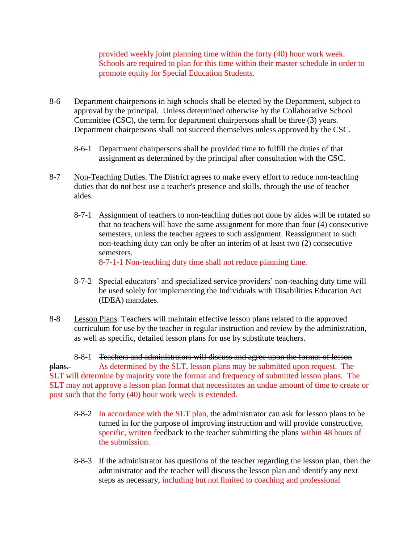provided weekly joint planning time within the forty (40) hour work week. Schools are required to plan for this time within their master schedule in order to promote equity for Special Education Students.

- 8-6 Department chairpersons in high schools shall be elected by the Department, subject to approval by the principal. Unless determined otherwise by the Collaborative School Committee (CSC), the term for department chairpersons shall be three (3) years. Department chairpersons shall not succeed themselves unless approved by the CSC.
	- 8-6-1 Department chairpersons shall be provided time to fulfill the duties of that assignment as determined by the principal after consultation with the CSC.
- 8-7 Non-Teaching Duties. The District agrees to make every effort to reduce non-teaching duties that do not best use a teacher's presence and skills, through the use of teacher aides.
	- 8-7-1 Assignment of teachers to non-teaching duties not done by aides will be rotated so that no teachers will have the same assignment for more than four (4) consecutive semesters, unless the teacher agrees to such assignment. Reassignment to such non-teaching duty can only be after an interim of at least two (2) consecutive semesters.

8-7-1-1 Non-teaching duty time shall not reduce planning time.

- 8-7-2 Special educators' and specialized service providers' non-teaching duty time will be used solely for implementing the Individuals with Disabilities Education Act (IDEA) mandates.
- 8-8 Lesson Plans. Teachers will maintain effective lesson plans related to the approved curriculum for use by the teacher in regular instruction and review by the administration, as well as specific, detailed lesson plans for use by substitute teachers.

8-8-1 Teachers and administrators will discuss and agree upon the format of lesson plans. As determined by the SLT, lesson plans may be submitted upon request. The SLT will determine by majority vote the format and frequency of submitted lesson plans. The SLT may not approve a lesson plan format that necessitates an undue amount of time to create or post such that the forty (40) hour work week is extended.

- 8-8-2 In accordance with the SLT plan, the administrator can ask for lesson plans to be turned in for the purpose of improving instruction and will provide constructive, specific, written feedback to the teacher submitting the plans within 48 hours of the submission.
- 8-8-3 If the administrator has questions of the teacher regarding the lesson plan, then the administrator and the teacher will discuss the lesson plan and identify any next steps as necessary, including but not limited to coaching and professional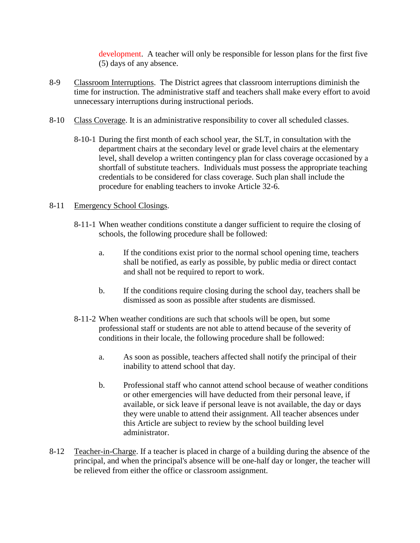development. A teacher will only be responsible for lesson plans for the first five (5) days of any absence.

- 8-9 Classroom Interruptions. The District agrees that classroom interruptions diminish the time for instruction. The administrative staff and teachers shall make every effort to avoid unnecessary interruptions during instructional periods.
- 8-10 Class Coverage. It is an administrative responsibility to cover all scheduled classes.
	- 8-10-1 During the first month of each school year, the SLT, in consultation with the department chairs at the secondary level or grade level chairs at the elementary level, shall develop a written contingency plan for class coverage occasioned by a shortfall of substitute teachers. Individuals must possess the appropriate teaching credentials to be considered for class coverage. Such plan shall include the procedure for enabling teachers to invoke Article 32-6.

## 8-11 Emergency School Closings.

- 8-11-1 When weather conditions constitute a danger sufficient to require the closing of schools, the following procedure shall be followed:
	- a. If the conditions exist prior to the normal school opening time, teachers shall be notified, as early as possible, by public media or direct contact and shall not be required to report to work.
	- b. If the conditions require closing during the school day, teachers shall be dismissed as soon as possible after students are dismissed.
- 8-11-2 When weather conditions are such that schools will be open, but some professional staff or students are not able to attend because of the severity of conditions in their locale, the following procedure shall be followed:
	- a. As soon as possible, teachers affected shall notify the principal of their inability to attend school that day.
	- b. Professional staff who cannot attend school because of weather conditions or other emergencies will have deducted from their personal leave, if available, or sick leave if personal leave is not available, the day or days they were unable to attend their assignment. All teacher absences under this Article are subject to review by the school building level administrator.
- 8-12 Teacher-in-Charge. If a teacher is placed in charge of a building during the absence of the principal, and when the principal's absence will be one-half day or longer, the teacher will be relieved from either the office or classroom assignment.